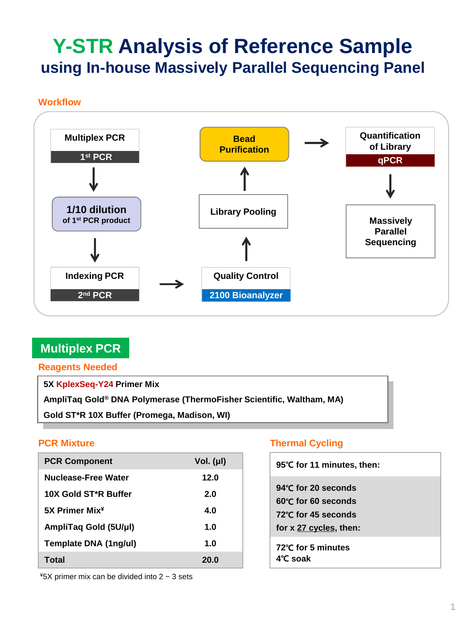# **Y-STR Analysis of Reference Sample using In-house Massively Parallel Sequencing Panel**

#### **Workflow**



## **Multiplex PCR**

**Reagents Needed**

**5X KplexSeq-Y24 Primer Mix**

**AmpliTaq Gold® DNA Polymerase (ThermoFisher Scientific, Waltham, MA)**

**Gold ST\*R 10X Buffer (Promega, Madison, WI)**

| <b>PCR Component</b>       | Vol. $(\mu I)$ |
|----------------------------|----------------|
| Nuclease-Free Water        | 12.0           |
| 10X Gold ST*R Buffer       | 2.O            |
| 5X Primer Mix <sup>¥</sup> | 4.0            |
| AmpliTaq Gold (5U/µl)      | 1.0            |
| Template DNA (1ng/ul)      | 1.0            |
| Total                      | 20.0           |

### **PCR Mixture Thermal Cycling**

| 95°C for 11 minutes, then:                                                                           |
|------------------------------------------------------------------------------------------------------|
| 94℃ for 20 seconds<br>60°C for 60 seconds<br>$72^{\circ}$ C for 45 seconds<br>for x 27 cycles, then: |
| 72℃ for 5 minutes<br>4°C soak                                                                        |

 $*5X$  primer mix can be divided into 2  $\sim$  3 sets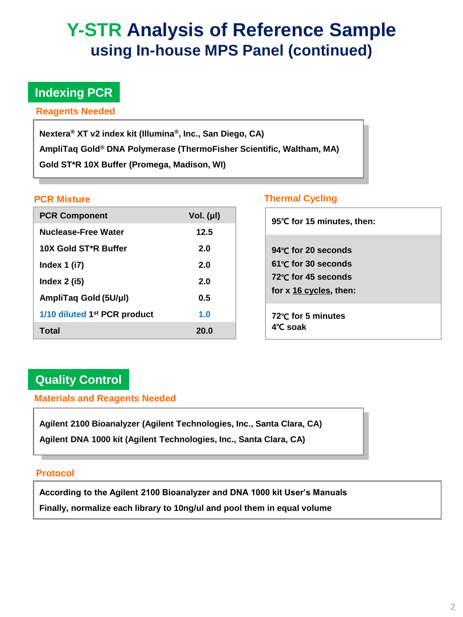# **Y-STR Analysis of Reference Sample using In-house MPS Panel (continued)**

# **Indexing PCR**

**Reagents Needed**

**Nextera® XT v2 index kit (Illumina® , Inc., San Diego, CA) AmpliTaq Gold® DNA Polymerase (ThermoFisher Scientific, Waltham, MA) Gold ST\*R 10X Buffer (Promega, Madison, WI)**

| <b>PCR Component</b>                     | Vol. $(\mu I)$ |
|------------------------------------------|----------------|
| Nuclease-Free Water                      | 12.5           |
| 10X Gold ST*R Buffer                     | 2.0            |
| Index $1$ (i7)                           | 2.0            |
| Index $2$ (i5)                           | 2.0            |
| AmpliTaq Gold (5U/µl)                    | 0.5            |
| 1/10 diluted 1 <sup>st</sup> PCR product | 1.0            |
| Total                                    | 20.0           |

### **PCR Mixture Contract Cycling Cycling**

| 95°C for 15 minutes, then:                                                                          |
|-----------------------------------------------------------------------------------------------------|
| 94 $\degree$ C for 20 seconds<br>61℃ for 30 seconds<br>72℃ for 45 seconds<br>for x 16 cycles, then: |
| 72℃ for 5 minutes<br>$4^\circ$ C soak                                                               |

# **Quality Control**

**Materials and Reagents Needed**

**Agilent 2100 Bioanalyzer (Agilent Technologies, Inc., Santa Clara, CA) Agilent DNA 1000 kit (Agilent Technologies, Inc., Santa Clara, CA)**

### **Protocol**

**According to the Agilent 2100 Bioanalyzer and DNA 1000 kit User's Manuals Finally, normalize each library to 10ng/ul and pool them in equal volume**